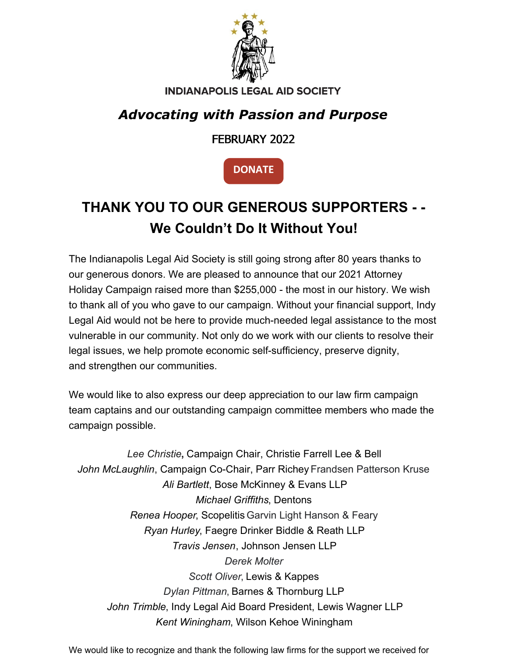

#### **INDIANAPOLIS LEGAL AID SOCIETY**

#### *Advocating with Passion and Purpose*

#### FEBRUARY 2022

**[DONATE](https://www.indylas.org/support-legal-aid)**

## **THANK YOU TO OUR GENEROUS SUPPORTERS - - We Couldn't Do It Without You!**

The Indianapolis Legal Aid Society is still going strong after 80 years thanks to our generous donors. We are pleased to announce that our 2021 Attorney Holiday Campaign raised more than \$255,000 - the most in our history. We wish to thank all of you who gave to our campaign. Without your financial support, Indy Legal Aid would not be here to provide much-needed legal assistance to the most vulnerable in our community. Not only do we work with our clients to resolve their legal issues, we help promote economic self-sufficiency, preserve dignity, and strengthen our communities.

We would like to also express our deep appreciation to our law firm campaign team captains and our outstanding campaign committee members who made the campaign possible.

*Lee Christie***,** Campaign Chair, Christie Farrell Lee & Bell *John McLaughlin*, Campaign Co-Chair, Parr Richey Frandsen Patterson Kruse *Ali Bartlett*, Bose McKinney & Evans LLP *Michael Griffiths*, Dentons *Renea Hooper*, Scopelitis Garvin Light Hanson & Feary *Ryan Hurley*, Faegre Drinker Biddle & Reath LLP *Travis Jensen*, Johnson Jensen LLP *Derek Molter Scott Oliver*, Lewis & Kappes *Dylan Pittman*, Barnes & Thornburg LLP *John Trimble*, Indy Legal Aid Board President, Lewis Wagner LLP *Kent Winingham*, Wilson Kehoe Winingham

We would like to recognize and thank the following law firms for the support we received for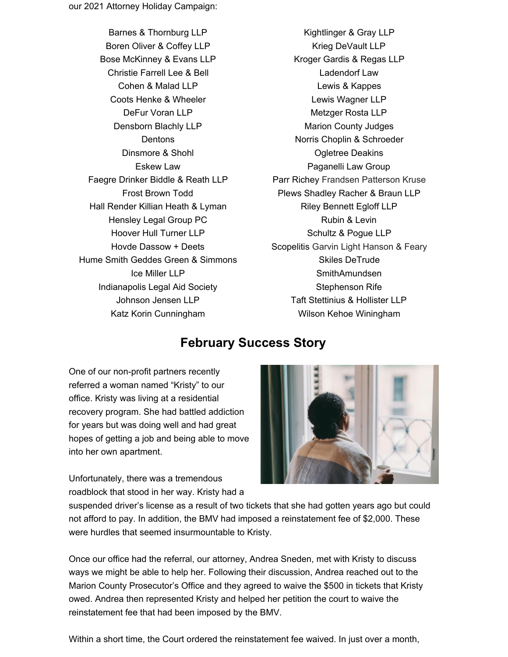Barnes & Thornburg LLP Boren Oliver & Coffey LLP Bose McKinney & Evans LLP Christie Farrell Lee & Bell Cohen & Malad LLP Coots Henke & Wheeler DeFur Voran LLP Densborn Blachly LLP **Dentons** Dinsmore & Shohl Eskew Law Faegre Drinker Biddle & Reath LLP Frost Brown Todd Hall Render Killian Heath & Lyman Hensley Legal Group PC Hoover Hull Turner LLP Hovde Dassow + Deets Hume Smith Geddes Green & [Simmons](https://www.humesmith.com/) Ice Miller LLP Indianapolis Legal Aid Society Johnson Jensen LLP Katz Korin Cunningham

Kightlinger & Gray LLP Krieg DeVault LLP Kroger Gardis & Regas LLP Ladendorf Law Lewis & Kappes Lewis Wagner LLP Metzger Rosta LLP Marion County Judges Norris Choplin & Schroeder Ogletree Deakins Paganelli Law Group Parr Richey Frandsen Patterson Kruse Plews Shadley Racher & Braun LLP Riley Bennett Egloff LLP Rubin & Levin Schultz & Pogue LLP Scopelitis Garvin Light Hanson & Feary Skiles DeTrude SmithAmundsen Stephenson Rife Taft Stettinius & Hollister LLP Wilson Kehoe Winingham

#### **February Success Story**

One of our non-profit partners recently referred a woman named "Kristy" to our office. Kristy was living at a residential recovery program. She had battled addiction for years but was doing well and had great hopes of getting a job and being able to move into her own apartment.

Unfortunately, there was a tremendous roadblock that stood in her way. Kristy had a



suspended driver's license as a result of two tickets that she had gotten years ago but could not afford to pay. In addition, the BMV had imposed a reinstatement fee of \$2,000. These were hurdles that seemed insurmountable to Kristy.

Once our office had the referral, our attorney, Andrea Sneden, met with Kristy to discuss ways we might be able to help her. Following their discussion, Andrea reached out to the Marion County Prosecutor's Office and they agreed to waive the \$500 in tickets that Kristy owed. Andrea then represented Kristy and helped her petition the court to waive the reinstatement fee that had been imposed by the BMV.

Within a short time, the Court ordered the reinstatement fee waived. In just over a month,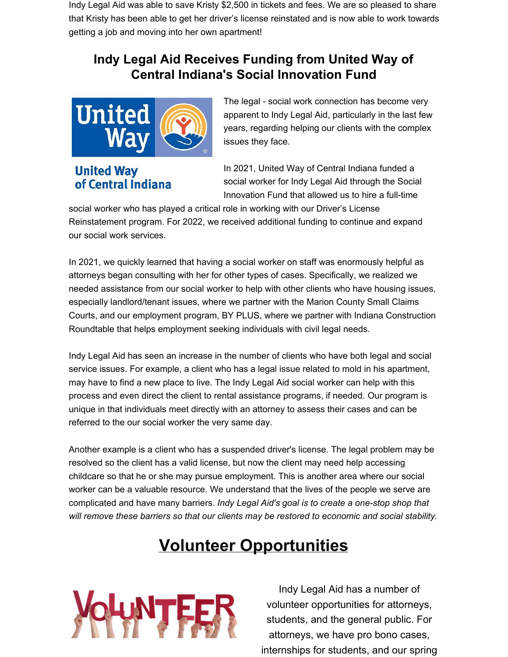Indy Legal Aid was able to save Kristy \$2,500 in tickets and fees. We are so pleased to share that Kristy has been able to get her driver's license reinstated and is now able to work towards getting a job and moving into her own apartment!

#### **Indy Legal Aid Receives Funding from United Way of Central Indiana's Social Innovation Fund**



**United Way** of Central Indiana

The legal - social work connection has become very apparent to Indy Legal Aid, particularly in the last few years, regarding helping our clients with the complex issues they face.

In 2021, United Way of Central Indiana funded a social worker for Indy Legal Aid through the Social Innovation Fund that allowed us to hire a full-time

social worker who has played a critical role in working with our Driver's License Reinstatement program. For 2022, we received additional funding to continue and expand our social work services.

In 2021, we quickly learned that having a social worker on staff was enormously helpful as attorneys began consulting with her for other types of cases. Specifically, we realized we needed assistance from our social worker to help with other clients who have housing issues, especially landlord/tenant issues, where we partner with the Marion County Small Claims Courts, and our employment program, BY PLUS, where we partner with Indiana Construction Roundtable that helps employment seeking individuals with civil legal needs.

Indy Legal Aid has seen an increase in the number of clients who have both legal and social service issues. For example, a client who has a legal issue related to mold in his apartment, may have to find a new place to live. The Indy Legal Aid social worker can help with this process and even direct the client to rental assistance programs, if needed. Our program is unique in that individuals meet directly with an attorney to assess their cases and can be referred to the our social worker the very same day.

Another example is a client who has a suspended driver's license. The legal problem may be resolved so the client has a valid license, but now the client may need help accessing childcare so that he or she may pursue employment. This is another area where our social worker can be a valuable resource. We understand that the lives of the people we serve are complicated and have many barriers. *Indy Legal Aid's goal is to create a one-stop shop that will remove these barriers so that our clients may be restored to economic and social stability.*

# **Volunteer Opportunities**



Indy Legal Aid has a number of volunteer opportunities for attorneys, students, and the general public. For attorneys, we have pro bono cases, internships for students, and our spring